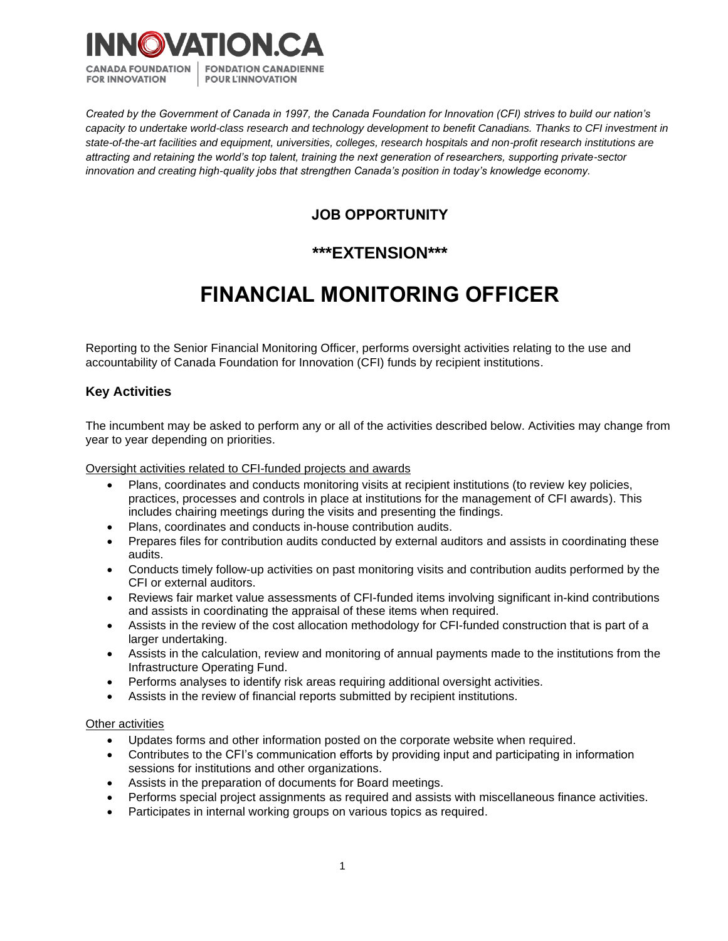

*Created by the Government of Canada in 1997, the Canada Foundation for Innovation (CFI) strives to build our nation's capacity to undertake world-class research and technology development to benefit Canadians. Thanks to CFI investment in state-of-the-art facilities and equipment, universities, colleges, research hospitals and non-profit research institutions are attracting and retaining the world's top talent, training the next generation of researchers, supporting private-sector innovation and creating high-quality jobs that strengthen Canada's position in today's knowledge economy.*

# **JOB OPPORTUNITY**

# **\*\*\*EXTENSION\*\*\***

# **FINANCIAL MONITORING OFFICER**

Reporting to the Senior Financial Monitoring Officer, performs oversight activities relating to the use and accountability of Canada Foundation for Innovation (CFI) funds by recipient institutions.

## **Key Activities**

The incumbent may be asked to perform any or all of the activities described below. Activities may change from year to year depending on priorities.

Oversight activities related to CFI-funded projects and awards

- Plans, coordinates and conducts monitoring visits at recipient institutions (to review key policies, practices, processes and controls in place at institutions for the management of CFI awards). This includes chairing meetings during the visits and presenting the findings.
- Plans, coordinates and conducts in-house contribution audits.
- Prepares files for contribution audits conducted by external auditors and assists in coordinating these audits.
- Conducts timely follow-up activities on past monitoring visits and contribution audits performed by the CFI or external auditors.
- Reviews fair market value assessments of CFI-funded items involving significant in-kind contributions and assists in coordinating the appraisal of these items when required.
- Assists in the review of the cost allocation methodology for CFI-funded construction that is part of a larger undertaking.
- Assists in the calculation, review and monitoring of annual payments made to the institutions from the Infrastructure Operating Fund.
- Performs analyses to identify risk areas requiring additional oversight activities.
- Assists in the review of financial reports submitted by recipient institutions.

#### Other activities

- Updates forms and other information posted on the corporate website when required.
- Contributes to the CFI's communication efforts by providing input and participating in information sessions for institutions and other organizations.
- Assists in the preparation of documents for Board meetings.
- Performs special project assignments as required and assists with miscellaneous finance activities.
- Participates in internal working groups on various topics as required.